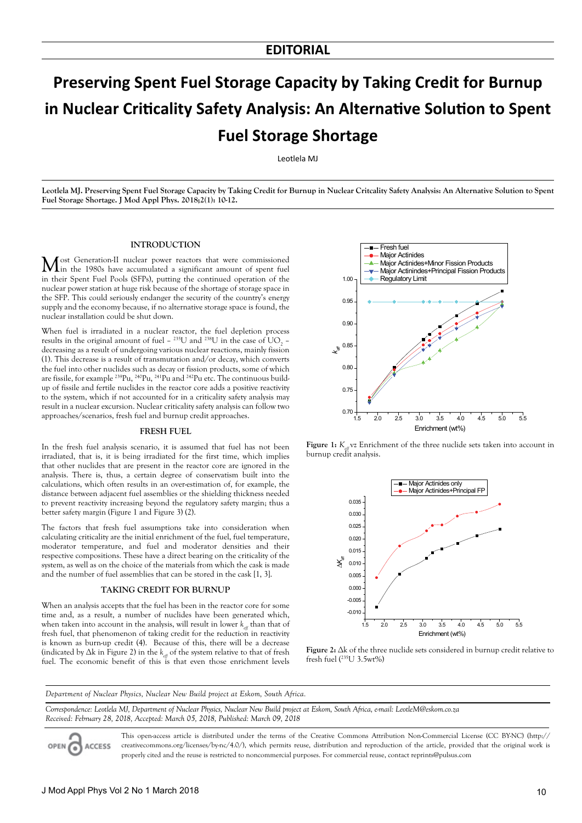# **Preserving Spent Fuel Storage Capacity by Taking Credit for Burnup in Nuclear Criticality Safety Analysis: An Alternative Solution to Spent Fuel Storage Shortage**

Leotlela MJ

**Leotlela MJ. Preserving Spent Fuel Storage Capacity by Taking Credit for Burnup in Nuclear Critcality Safety Analysis: An Alternative Solution to Spent Fuel Storage Shortage. J Mod Appl Phys. 2018;2(1): 10-12.**

#### **INTRODUCTION**

Most Generation-II nuclear power reactors that were commissioned in the 1980s have accumulated a significant amount of spent fuel in their Spent Fuel Pools (SFPs), putting the continued operation of the nuclear power station at huge risk because of the shortage of storage space in the SFP. This could seriously endanger the security of the country's energy supply and the economy because, if no alternative storage space is found, the nuclear installation could be shut down.

When fuel is irradiated in a nuclear reactor, the fuel depletion process results in the original amount of fuel  $-$  <sup>235</sup>U and <sup>238</sup>U in the case of UO<sub>2</sub> – decreasing as a result of undergoing various nuclear reactions, mainly fission (1). This decrease is a result of transmutation and/or decay, which converts the fuel into other nuclides such as decay or fission products, some of which are fissile, for example 239Pu, 240Pu, 241Pu and 242Pu etc. The continuous buildup of fissile and fertile nuclides in the reactor core adds a positive reactivity to the system, which if not accounted for in a criticality safety analysis may result in a nuclear excursion. Nuclear criticality safety analysis can follow two approaches/scenarios, fresh fuel and burnup credit approaches.

#### **FRESH FUEL**

In the fresh fuel analysis scenario, it is assumed that fuel has not been irradiated, that is, it is being irradiated for the first time, which implies that other nuclides that are present in the reactor core are ignored in the analysis. There is, thus, a certain degree of conservatism built into the calculations, which often results in an over-estimation of, for example, the distance between adjacent fuel assemblies or the shielding thickness needed to prevent reactivity increasing beyond the regulatory safety margin; thus a better safety margin (Figure 1 and Figure 3) (2).

The factors that fresh fuel assumptions take into consideration when calculating criticality are the initial enrichment of the fuel, fuel temperature, moderator temperature, and fuel and moderator densities and their respective compositions. These have a direct bearing on the criticality of the system, as well as on the choice of the materials from which the cask is made and the number of fuel assemblies that can be stored in the cask [1, 3].

#### **TAKING CREDIT FOR BURNUP**

When an analysis accepts that the fuel has been in the reactor core for some time and, as a result, a number of nuclides have been generated which, when taken into account in the analysis, will result in lower  $k_{\mu}$  than that of fresh fuel, that phenomenon of taking credit for the reduction in reactivity is known as burn-up credit (4). Because of this, there will be a decrease (indicated by  $\Delta k$  in Figure 2) in the  $k_{\mu}$  of the system relative to that of fresh fuel. The economic benefit of this is that even those enrichment levels



**Figure 1:**  $K_{\text{eff}}$  vz Enrichment of the three nuclide sets taken into account in burnup credit analysis.





*Department of Nuclear Physics, Nuclear New Build project at Eskom, South Africa.*

*Correspondence: Leotlela MJ, Department of Nuclear Physics, Nuclear New Build project at Eskom, South Africa, e-mail: LeotleM@eskom.co.za Received: February 28, 2018, Accepted: March 05, 2018, Published: March 09, 2018*

**ACCESS** 

This open-access article is distributed under the terms of the Creative Commons Attribution Non-Commercial License (CC BY-NC) (http:// creativecommons.org/licenses/by-nc/4.0/), which permits reuse, distribution and reproduction of the article, provided that the original work is properly cited and the reuse is restricted to noncommercial purposes. For commercial reuse, contact reprints@pulsus.com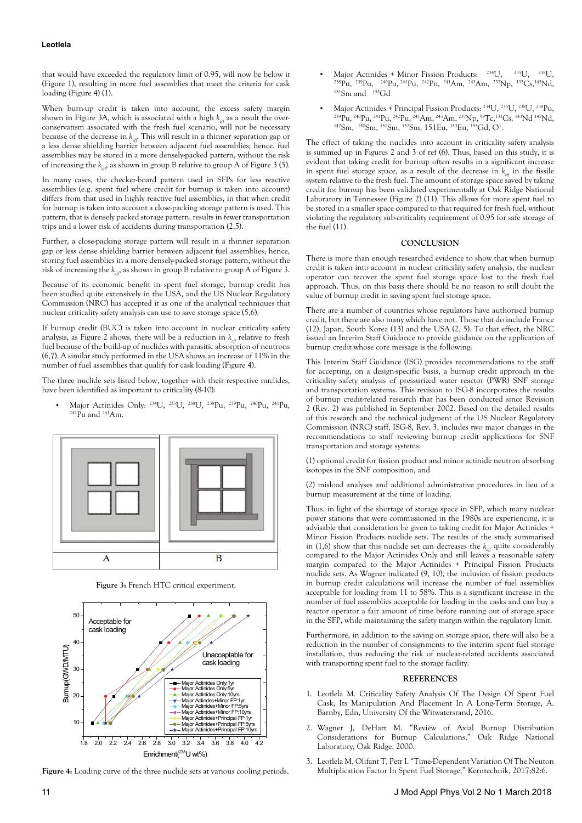# **Leotlela**

that would have exceeded the regulatory limit of 0.95, will now be below it (Figure 1), resulting in more fuel assemblies that meet the criteria for cask loading (Figure 4) (1).

When burn-up credit is taken into account, the excess safety margin shown in Figure 3A, which is associated with a high  $k_{\text{eff}}$  as a result the overconservatism associated with the fresh fuel scenario, will not be necessary because of the decrease in  $k_{\text{eff}}$ . This will result in a thinner separation gap or a less dense shielding barrier between adjacent fuel assemblies; hence, fuel assemblies may be stored in a more densely-packed pattern, without the risk of increasing the  $k_{\text{eff}}$ , as shown in group B relative to group A of Figure 3 (5).

In many cases, the checker-board pattern used in SFPs for less reactive assemblies (e.g. spent fuel where credit for burnup is taken into account) differs from that used in highly reactive fuel assemblies, in that when credit for burnup is taken into account a close-packing storage pattern is used. This pattern, that is densely packed storage pattern, results in fewer transportation trips and a lower risk of accidents during transportation (2,5).

Further, a close-packing storage pattern will result in a thinner separation gap or less dense shielding barrier between adjacent fuel assemblies; hence, storing fuel assemblies in a more densely-packed storage pattern, without the risk of increasing the  $k_{\text{eff}}$  as shown in group B relative to group A of Figure 3.

Because of its economic benefit in spent fuel storage, burnup credit has been studied quite extensively in the USA, and the US Nuclear Regulatory Commission (NRC) has accepted it as one of the analytical techniques that nuclear criticality safety analysis can use to save storage space (5,6).

If burnup credit (BUC) is taken into account in nuclear criticality safety analysis, as Figure 2 shows, there will be a reduction in  $k_{\mu}$  relative to fresh fuel because of the build-up of nuclides with parasitic absorption of neutrons (6,7). A similar study performed in the USA shows an increase of 11% in the number of fuel assemblies that qualify for cask loading (Figure 4).

The three nuclide sets listed below, together with their respective nuclides, have been identified as important to criticality (8-10):

Major Actinides Only: <sup>234</sup>U, <sup>235</sup>U, <sup>238</sup>U, <sup>238</sup>Pu, <sup>239</sup>Pu, <sup>240</sup>Pu, <sup>241</sup>Pu, <sup>242</sup>Pu and <sup>241</sup>Am.



**Figure 3:** French HTC critical experiment.



**Figure 4:** Loading curve of the three nuclide sets at various cooling periods.

- Major Actinides + Minor Fission Products:  $^{234}$ U,  $^{235}$ U,  $^{238}$ U,  $^{238}$ Pu,  $^{240}$ Pu,  $^{241}$ Pu,  $^{242}$ Pu,  $^{241}$ Am,  $^{243}$ Am,  $^{237}$ Np,  $^{133}$ Cs,<sup>143</sup>Nd, <sup>151</sup>Sm and <sup>155</sup>Gd
- Major Actinides + Principal Fission Products: <sup>234</sup>U, <sup>235</sup>U, <sup>238</sup>U, <sup>238</sup>Pu, <sup>239</sup>Pu, <sup>240</sup>Pu, <sup>242</sup>Pu, <sup>242</sup>Pu, <sup>241</sup>Am, <sup>243</sup>Am, <sup>237</sup>Np, <sup>99</sup>Tc,<sup>133</sup>Cs, <sup>143</sup>Nd <sup>145</sup>Nd, <sup>147</sup>Sm, <sup>150</sup>Sm, <sup>151</sup>Sm, <sup>152</sup>Sm, 151Eu, <sup></sup>

The effect of taking the nuclides into account in criticality safety analysis is summed up in Figures 2 and 3 of ref (6). Thus, based on this study, it is evident that taking credit for burnup often results in a significant increase in spent fuel storage space, as a result of the decrease in  $k_{\mu}$  in the fissile system relative to the fresh fuel. The amount of storage space saved by taking credit for burnup has been validated experimentally at Oak Ridge National Laboratory in Tennessee (Figure 2) (11). This allows for more spent fuel to be stored in a smaller space compared to that required for fresh fuel, without violating the regulatory sub-criticality requirement of 0.95 for safe storage of the fuel (11).

### **CONCLUSION**

There is more than enough researched evidence to show that when burnup credit is taken into account in nuclear criticality safety analysis, the nuclear operator can recover the spent fuel storage space lost to the fresh fuel approach. Thus, on this basis there should be no reason to still doubt the value of burnup credit in saving spent fuel storage space.

There are a number of countries whose regulators have authorised burnup credit, but there are also many which have not. Those that do include France (12), Japan, South Korea (13) and the USA (2, 5). To that effect, the NRC issued an Interim Staff Guidance to provide guidance on the application of burnup credit whose core message is the following:

This Interim Staff Guidance (ISG) provides recommendations to the staff for accepting, on a design-specific basis, a burnup credit approach in the criticality safety analysis of pressurized water reactor (PWR) SNF storage and transportation systems. This revision to ISG-8 incorporates the results of burnup credit-related research that has been conducted since Revision 2 (Rev. 2) was published in September 2002. Based on the detailed results of this research and the technical judgment of the US Nuclear Regulatory Commission (NRC) staff, ISG-8, Rev. 3, includes two major changes in the recommendations to staff reviewing burnup credit applications for SNF transportation and storage systems:

(1) optional credit for fission product and minor actinide neutron absorbing isotopes in the SNF composition, and

(2) misload analyses and additional administrative procedures in lieu of a burnup measurement at the time of loading.

Thus, in light of the shortage of storage space in SFP, which many nuclear power stations that were commissioned in the 1980s are experiencing, it is advisable that consideration be given to taking credit for Major Actinides + Minor Fission Products nuclide sets. The results of the study summarised in (1,6) show that this nuclide set can decreases the  $k_{\text{eff}}$  quite considerably compared to the Major Actinides Only and still leaves a reasonable safety margin compared to the Major Actinides + Principal Fission Products nuclide sets. As Wagner indicated (9, 10), the inclusion of fission products in burnup credit calculations will increase the number of fuel assemblies acceptable for loading from 11 to 58%. This is a significant increase in the number of fuel assemblies acceptable for loading in the casks and can buy a reactor operator a fair amount of time before running out of storage space in the SFP, while maintaining the safety margin within the regulatory limit.

Furthermore, in addition to the saving on storage space, there will also be a reduction in the number of consignments to the interim spent fuel storage installation, thus reducing the risk of nuclear-related accidents associated with transporting spent fuel to the storage facility.

# **REFERENCES**

- 1. Leotlela M. Criticality Safety Analysis Of The Design Of Spent Fuel Cask, Its Manipulation And Placement In A Long-Term Storage, A. Barnby, Edn, University Of the Witwatersrand, 2016.
- 2. Wagner J, DeHart M. "Review of Axial Burnup Distribution Considerations for Burnup Calculations," Oak Ridge National Laboratory, Oak Ridge, 2000.
- 3. Leotlela M, Olifant T, Petr I. "Time-Dependent Variation Of The Neuton Multiplication Factor In Spent Fuel Storage," Kerntechnik, 2017;82:6.